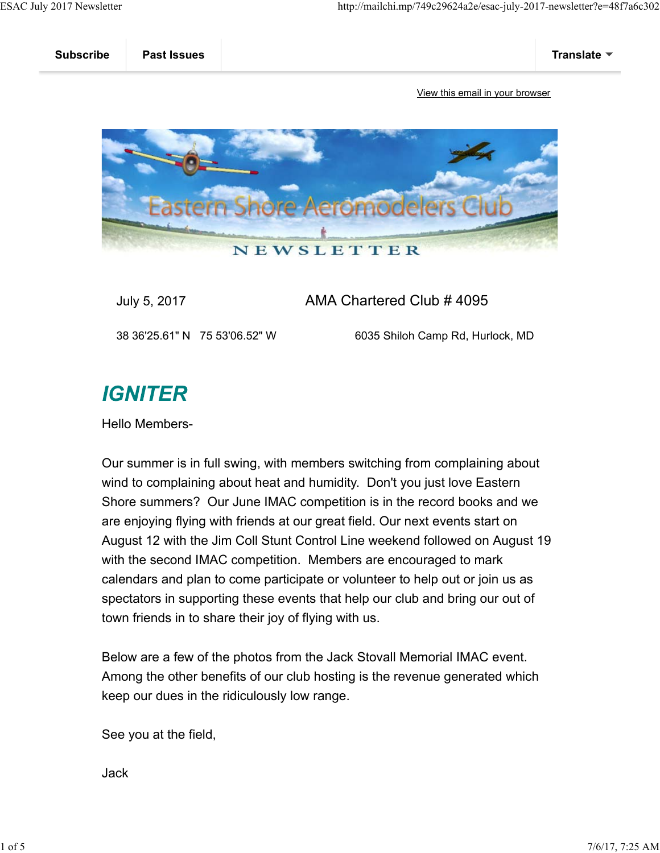

## July 5, 2017 AMA Chartered Club # 4095

38 36'25.61" N 75 53'06.52" W 6035 Shiloh Camp Rd, Hurlock, MD

## **IGNITER**

Hello Members-

Our summer is in full swing, with members switching from complaining about wind to complaining about heat and humidity. Don't you just love Eastern Shore summers? Our June IMAC competition is in the record books and we are enjoying flying with friends at our great field. Our next events start on August 12 with the Jim Coll Stunt Control Line weekend followed on August 19 with the second IMAC competition. Members are encouraged to mark calendars and plan to come participate or volunteer to help out or join us as spectators in supporting these events that help our club and bring our out of town friends in to share their joy of flying with us.

Below are a few of the photos from the Jack Stovall Memorial IMAC event. Among the other benefits of our club hosting is the revenue generated which keep our dues in the ridiculously low range.

See you at the field,

Jack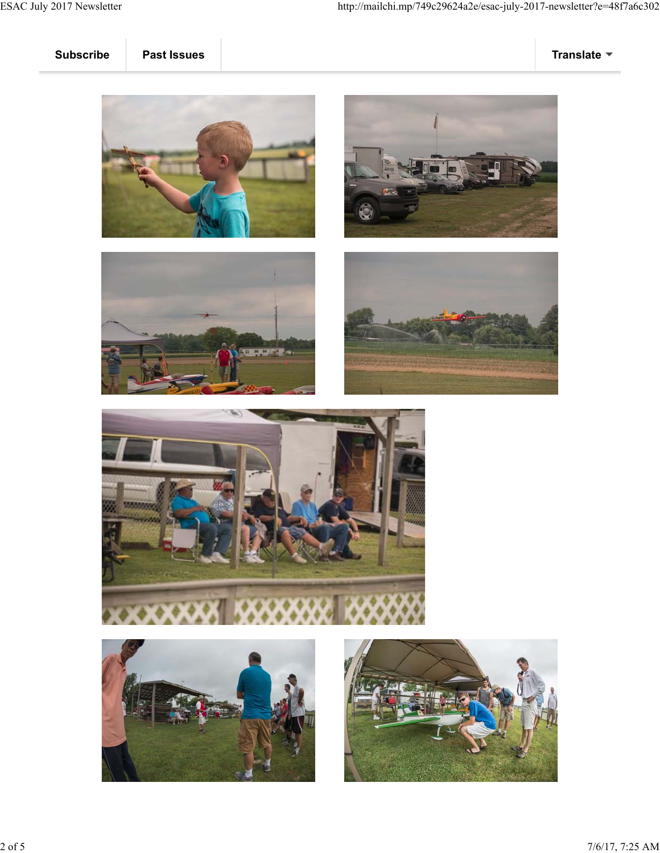











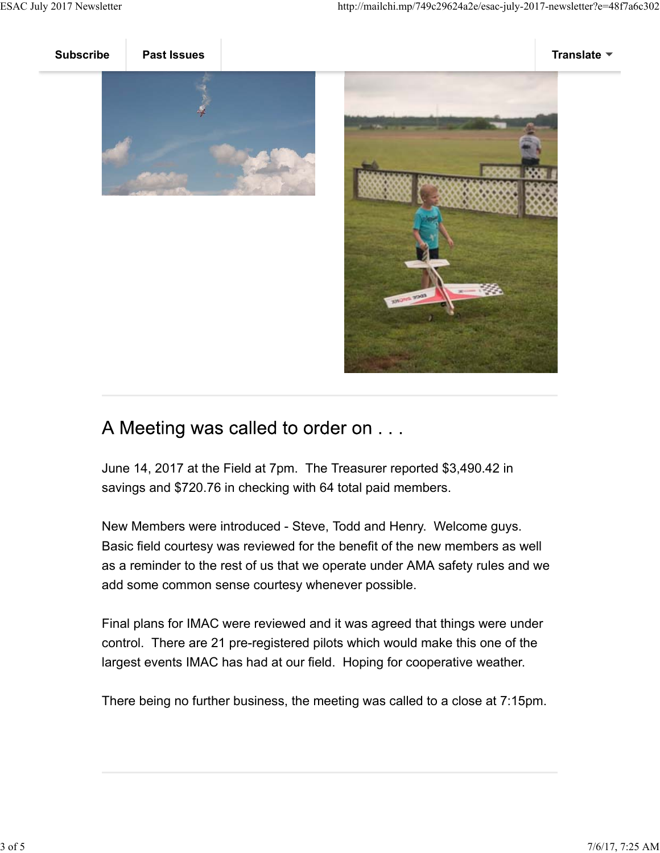



## A Meeting was called to order on ...

June 14, 2017 at the Field at 7pm. The Treasurer reported \$3,490.42 in savings and \$720.76 in checking with 64 total paid members.

New Members were introduced - Steve, Todd and Henry. Welcome guys. Basic field courtesy was reviewed for the benefit of the new members as well as a reminder to the rest of us that we operate under AMA safety rules and we add some common sense courtesy whenever possible.

Final plans for IMAC were reviewed and it was agreed that things were under control. There are 21 pre-registered pilots which would make this one of the largest events IMAC has had at our field. Hoping for cooperative weather.

There being no further business, the meeting was called to a close at 7:15pm.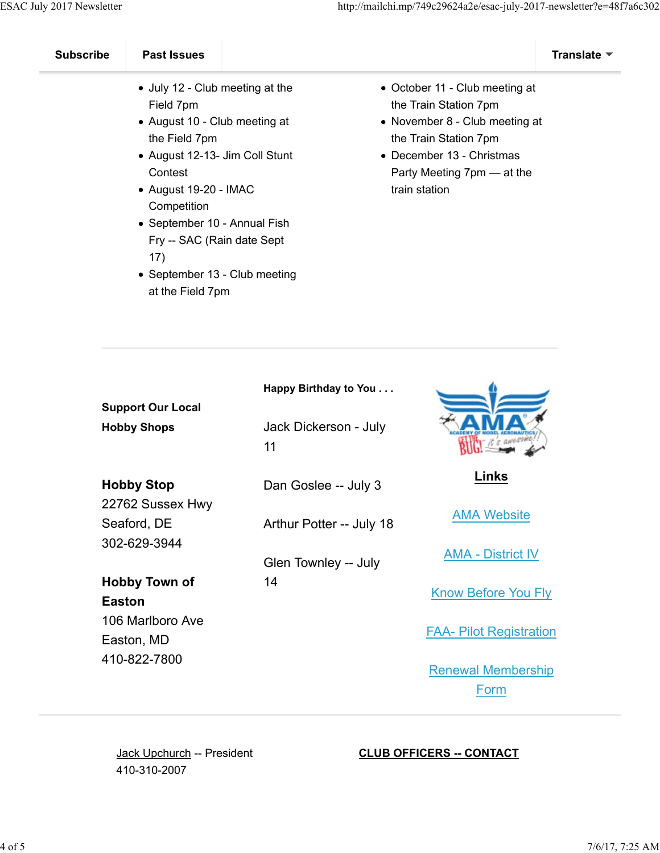- July 12 Club meeting at the Field 7pm
- August 10 Club meeting at the Field 7pm
- August 12-13- Jim Coll Stunt **Contest**
- August 19-20 IMAC **Competition**
- September 10 Annual Fish Fry -- SAC (Rain date Sept 17)
- September 13 Club meeting at the Field 7pm
- October 11 Club meeting at the Train Station 7pm
- November 8 Club meeting at the Train Station 7pm
- December 13 Christmas Party Meeting 7pm — at the train station

| <b>Support Our Local</b><br><b>Hobby Shops</b> | Happy Birthday to You<br>Jack Dickerson - July<br>11 |                                |
|------------------------------------------------|------------------------------------------------------|--------------------------------|
| <b>Hobby Stop</b>                              | Dan Goslee -- July 3                                 | Links                          |
| 22762 Sussex Hwy                               |                                                      | <b>AMA Website</b>             |
| Seaford, DE<br>302-629-3944                    | Arthur Potter -- July 18                             |                                |
|                                                | Glen Townley -- July                                 | <b>AMA - District IV</b>       |
| <b>Hobby Town of</b><br><b>Easton</b>          | 14                                                   | <b>Know Before You Fly</b>     |
| 106 Marlboro Ave<br>Easton, MD                 |                                                      | <b>FAA- Pilot Registration</b> |
| 410-822-7800                                   |                                                      | <b>Renewal Membership</b>      |
|                                                |                                                      | Form                           |

Jack Upchurch -- President 410-310-2007

## **CLUB OFFICERS -- CONTACT**